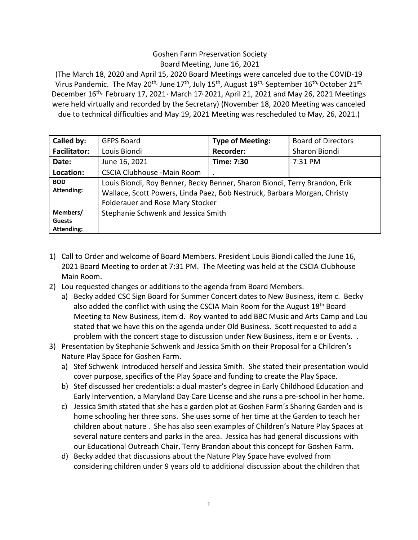## Goshen Farm Preservation Society Board Meeting, June 16, 2021

(The March 18, 2020 and April 15, 2020 Board Meetings were canceled due to the COVID-19 Virus Pandemic. The May 20<sup>th,</sup> June 17<sup>th</sup>, July 15<sup>th</sup>, August 19<sup>th,</sup> September 16<sup>th,</sup> October 21<sup>st,</sup> December  $16^{\text{th}}$ , February 17, 2021<sup>,</sup> March 17<sup>,</sup> 2021, April 21, 2021 and May 26, 2021 Meetings were held virtually and recorded by the Secretary) (November 18, 2020 Meeting was canceled due to technical difficulties and May 19, 2021 Meeting was rescheduled to May, 26, 2021.)

| Called by:          | <b>GFPS Board</b>                                                                                                                                      | <b>Type of Meeting:</b> | <b>Board of Directors</b> |
|---------------------|--------------------------------------------------------------------------------------------------------------------------------------------------------|-------------------------|---------------------------|
| <b>Facilitator:</b> | Louis Biondi                                                                                                                                           | <b>Recorder:</b>        | Sharon Biondi             |
| Date:               | June 16, 2021                                                                                                                                          | Time: 7:30              | 7:31 PM                   |
| Location:           | <b>CSCIA Clubhouse -Main Room</b>                                                                                                                      |                         |                           |
| <b>BOD</b>          | Louis Biondi, Roy Benner, Becky Benner, Sharon Biondi, Terry Brandon, Erik<br>Wallace, Scott Powers, Linda Paez, Bob Nestruck, Barbara Morgan, Christy |                         |                           |
| <b>Attending:</b>   |                                                                                                                                                        |                         |                           |
|                     | <b>Folderauer and Rose Mary Stocker</b>                                                                                                                |                         |                           |
| Members/            | Stephanie Schwenk and Jessica Smith                                                                                                                    |                         |                           |
| <b>Guests</b>       |                                                                                                                                                        |                         |                           |
| Attending:          |                                                                                                                                                        |                         |                           |

- 1) Call to Order and welcome of Board Members. President Louis Biondi called the June 16, 2021 Board Meeting to order at 7:31 PM. The Meeting was held at the CSCIA Clubhouse Main Room.
- 2) Lou requested changes or additions to the agenda from Board Members.
	- a) Becky added CSC Sign Board for Summer Concert dates to New Business, item c. Becky also added the conflict with using the CSCIA Main Room for the August 18<sup>th</sup> Board Meeting to New Business, item d. Roy wanted to add BBC Music and Arts Camp and Lou stated that we have this on the agenda under Old Business. Scott requested to add a problem with the concert stage to discussion under New Business, item e or Events. .
- 3) Presentation by Stephanie Schwenk and Jessica Smith on their Proposal for a Children's Nature Play Space for Goshen Farm.
	- a) Stef Schwenk introduced herself and Jessica Smith. She stated their presentation would cover purpose, specifics of the Play Space and funding to create the Play Space.
	- b) Stef discussed her credentials: a dual master's degree in Early Childhood Education and Early Intervention, a Maryland Day Care License and she runs a pre-school in her home.
	- c) Jessica Smith stated that she has a garden plot at Goshen Farm's Sharing Garden and is home schooling her three sons. She uses some of her time at the Garden to teach her children about nature . She has also seen examples of Children's Nature Play Spaces at several nature centers and parks in the area. Jessica has had general discussions with our Educational Outreach Chair, Terry Brandon about this concept for Goshen Farm.
	- d) Becky added that discussions about the Nature Play Space have evolved from considering children under 9 years old to additional discussion about the children that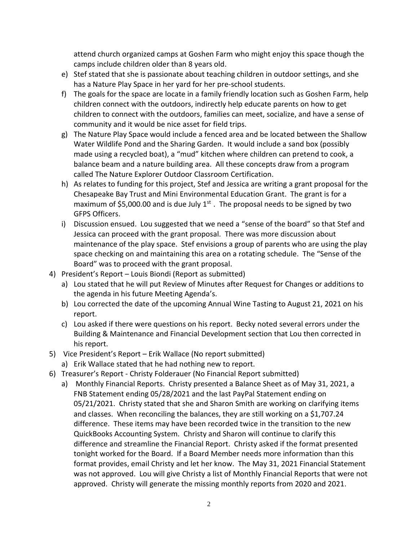attend church organized camps at Goshen Farm who might enjoy this space though the camps include children older than 8 years old.

- e) Stef stated that she is passionate about teaching children in outdoor settings, and she has a Nature Play Space in her yard for her pre-school students.
- f) The goals for the space are locate in a family friendly location such as Goshen Farm, help children connect with the outdoors, indirectly help educate parents on how to get children to connect with the outdoors, families can meet, socialize, and have a sense of community and it would be nice asset for field trips.
- g) The Nature Play Space would include a fenced area and be located between the Shallow Water Wildlife Pond and the Sharing Garden. It would include a sand box (possibly made using a recycled boat), a "mud" kitchen where children can pretend to cook, a balance beam and a nature building area. All these concepts draw from a program called The Nature Explorer Outdoor Classroom Certification.
- h) As relates to funding for this project, Stef and Jessica are writing a grant proposal for the Chesapeake Bay Trust and Mini Environmental Education Grant. The grant is for a maximum of \$5,000.00 and is due July  $1<sup>st</sup>$ . The proposal needs to be signed by two GFPS Officers.
- i) Discussion ensued. Lou suggested that we need a "sense of the board" so that Stef and Jessica can proceed with the grant proposal. There was more discussion about maintenance of the play space. Stef envisions a group of parents who are using the play space checking on and maintaining this area on a rotating schedule. The "Sense of the Board" was to proceed with the grant proposal.
- 4) President's Report Louis Biondi (Report as submitted)
	- a) Lou stated that he will put Review of Minutes after Request for Changes or additions to the agenda in his future Meeting Agenda's.
	- b) Lou corrected the date of the upcoming Annual Wine Tasting to August 21, 2021 on his report.
	- c) Lou asked if there were questions on his report. Becky noted several errors under the Building & Maintenance and Financial Development section that Lou then corrected in his report.
- 5) Vice President's Report Erik Wallace (No report submitted)
	- a) Erik Wallace stated that he had nothing new to report.
- 6) Treasurer's Report Christy Folderauer (No Financial Report submitted)
	- a) Monthly Financial Reports. Christy presented a Balance Sheet as of May 31, 2021, a FNB Statement ending 05/28/2021 and the last PayPal Statement ending on 05/21/2021. Christy stated that she and Sharon Smith are working on clarifying items and classes. When reconciling the balances, they are still working on a \$1,707.24 difference. These items may have been recorded twice in the transition to the new QuickBooks Accounting System. Christy and Sharon will continue to clarify this difference and streamline the Financial Report. Christy asked if the format presented tonight worked for the Board. If a Board Member needs more information than this format provides, email Christy and let her know. The May 31, 2021 Financial Statement was not approved. Lou will give Christy a list of Monthly Financial Reports that were not approved. Christy will generate the missing monthly reports from 2020 and 2021.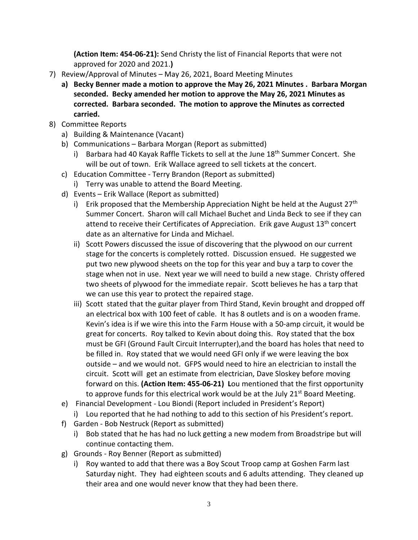**(Action Item: 454-06-21):** Send Christy the list of Financial Reports that were not approved for 2020 and 2021.**)**

- 7) Review/Approval of Minutes May 26, 2021, Board Meeting Minutes
	- **a) Becky Benner made a motion to approve the May 26, 2021 Minutes . Barbara Morgan seconded. Becky amended her motion to approve the May 26, 2021 Minutes as corrected. Barbara seconded. The motion to approve the Minutes as corrected carried.**
- 8) Committee Reports
	- a) Building & Maintenance (Vacant)
	- b) Communications Barbara Morgan (Report as submitted)
		- i) Barbara had 40 Kayak Raffle Tickets to sell at the June 18<sup>th</sup> Summer Concert. She will be out of town. Erik Wallace agreed to sell tickets at the concert.
	- c) Education Committee Terry Brandon (Report as submitted)
		- i) Terry was unable to attend the Board Meeting.
	- d) Events Erik Wallace (Report as submitted)
		- i) Erik proposed that the Membership Appreciation Night be held at the August 27<sup>th</sup> Summer Concert. Sharon will call Michael Buchet and Linda Beck to see if they can attend to receive their Certificates of Appreciation. Erik gave August 13<sup>th</sup> concert date as an alternative for Linda and Michael.
		- ii) Scott Powers discussed the issue of discovering that the plywood on our current stage for the concerts is completely rotted. Discussion ensued. He suggested we put two new plywood sheets on the top for this year and buy a tarp to cover the stage when not in use. Next year we will need to build a new stage. Christy offered two sheets of plywood for the immediate repair. Scott believes he has a tarp that we can use this year to protect the repaired stage.
		- iii) Scott stated that the guitar player from Third Stand, Kevin brought and dropped off an electrical box with 100 feet of cable. It has 8 outlets and is on a wooden frame. Kevin's idea is if we wire this into the Farm House with a 50-amp circuit, it would be great for concerts. Roy talked to Kevin about doing this. Roy stated that the box must be GFI (Ground Fault Circuit Interrupter),and the board has holes that need to be filled in. Roy stated that we would need GFI only if we were leaving the box outside – and we would not. GFPS would need to hire an electrician to install the circuit. Scott will get an estimate from electrician, Dave Sloskey before moving forward on this. **(Action Item: 455-06-21) L**ou mentioned that the first opportunity to approve funds for this electrical work would be at the July  $21^{st}$  Board Meeting.
	- e) Financial Development Lou Biondi (Report included in President's Report) i) Lou reported that he had nothing to add to this section of his President's report.
	- f) Garden Bob Nestruck (Report as submitted)
		- i) Bob stated that he has had no luck getting a new modem from Broadstripe but will continue contacting them.
	- g) Grounds Roy Benner (Report as submitted)
		- i) Roy wanted to add that there was a Boy Scout Troop camp at Goshen Farm last Saturday night. They had eighteen scouts and 6 adults attending. They cleaned up their area and one would never know that they had been there.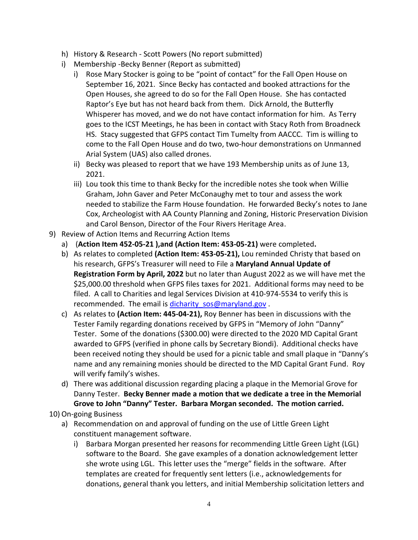- h) History & Research Scott Powers (No report submitted)
- i) Membership -Becky Benner (Report as submitted)
	- i) Rose Mary Stocker is going to be "point of contact" for the Fall Open House on September 16, 2021. Since Becky has contacted and booked attractions for the Open Houses, she agreed to do so for the Fall Open House. She has contacted Raptor's Eye but has not heard back from them. Dick Arnold, the Butterfly Whisperer has moved, and we do not have contact information for him. As Terry goes to the ICST Meetings, he has been in contact with Stacy Roth from Broadneck HS. Stacy suggested that GFPS contact Tim Tumelty from AACCC. Tim is willing to come to the Fall Open House and do two, two-hour demonstrations on Unmanned Arial System (UAS) also called drones.
	- ii) Becky was pleased to report that we have 193 Membership units as of June 13, 2021.
	- iii) Lou took this time to thank Becky for the incredible notes she took when Willie Graham, John Gaver and Peter McConaughy met to tour and assess the work needed to stabilize the Farm House foundation. He forwarded Becky's notes to Jane Cox, Archeologist with AA County Planning and Zoning, Historic Preservation Division and Carol Benson, Director of the Four Rivers Heritage Area.
- 9) Review of Action Items and Recurring Action Items
	- a) (**Action Item 452-05-21 ),and (Action Item: 453-05-21)** were completed**.**
	- b) As relates to completed **(Action Item: 453-05-21),** Lou reminded Christy that based on his research, GFPS's Treasurer will need to File a **Maryland Annual Update of Registration Form by April, 2022** but no later than August 2022 as we will have met the \$25,000.00 threshold when GFPS files taxes for 2021. Additional forms may need to be filed. A call to Charities and legal Services Division at 410-974-5534 to verify this is recommended. The email is dicharity sos@maryland.gov.
	- c) As relates to **(Action Item: 445-04-21),** Roy Benner has been in discussions with the Tester Family regarding donations received by GFPS in "Memory of John "Danny" Tester. Some of the donations (\$300.00) were directed to the 2020 MD Capital Grant awarded to GFPS (verified in phone calls by Secretary Biondi). Additional checks have been received noting they should be used for a picnic table and small plaque in "Danny's name and any remaining monies should be directed to the MD Capital Grant Fund. Roy will verify family's wishes.
	- d) There was additional discussion regarding placing a plaque in the Memorial Grove for Danny Tester. **Becky Benner made a motion that we dedicate a tree in the Memorial Grove to John "Danny" Tester. Barbara Morgan seconded. The motion carried.**
- 10) On-going Business
	- a) Recommendation on and approval of funding on the use of Little Green Light constituent management software.
		- i) Barbara Morgan presented her reasons for recommending Little Green Light (LGL) software to the Board. She gave examples of a donation acknowledgement letter she wrote using LGL. This letter uses the "merge" fields in the software. After templates are created for frequently sent letters (i.e., acknowledgements for donations, general thank you letters, and initial Membership solicitation letters and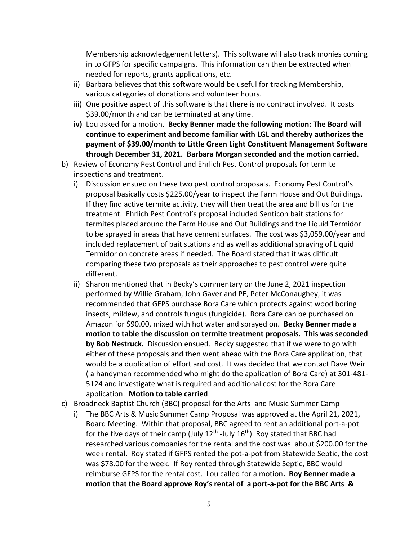Membership acknowledgement letters). This software will also track monies coming in to GFPS for specific campaigns. This information can then be extracted when needed for reports, grants applications, etc.

- ii) Barbara believes that this software would be useful for tracking Membership, various categories of donations and volunteer hours.
- iii) One positive aspect of this software is that there is no contract involved. It costs \$39.00/month and can be terminated at any time.
- **iv)** Lou asked for a motion. **Becky Benner made the following motion: The Board will continue to experiment and become familiar with LGL and thereby authorizes the payment of \$39.00/month to Little Green Light Constituent Management Software through December 31, 2021. Barbara Morgan seconded and the motion carried.**
- b) Review of Economy Pest Control and Ehrlich Pest Control proposals for termite inspections and treatment.
	- i) Discussion ensued on these two pest control proposals. Economy Pest Control's proposal basically costs \$225.00/year to inspect the Farm House and Out Buildings. If they find active termite activity, they will then treat the area and bill us for the treatment. Ehrlich Pest Control's proposal included Senticon bait stations for termites placed around the Farm House and Out Buildings and the Liquid Termidor to be sprayed in areas that have cement surfaces. The cost was \$3,059.00/year and included replacement of bait stations and as well as additional spraying of Liquid Termidor on concrete areas if needed. The Board stated that it was difficult comparing these two proposals as their approaches to pest control were quite different.
	- ii) Sharon mentioned that in Becky's commentary on the June 2, 2021 inspection performed by Willie Graham, John Gaver and PE, Peter McConaughey, it was recommended that GFPS purchase Bora Care which protects against wood boring insects, mildew, and controls fungus (fungicide). Bora Care can be purchased on Amazon for \$90.00, mixed with hot water and sprayed on. **Becky Benner made a motion to table the discussion on termite treatment proposals. This was seconded by Bob Nestruck.** Discussion ensued. Becky suggested that if we were to go with either of these proposals and then went ahead with the Bora Care application, that would be a duplication of effort and cost. It was decided that we contact Dave Weir ( a handyman recommended who might do the application of Bora Care) at 301-481- 5124 and investigate what is required and additional cost for the Bora Care application. **Motion to table carried**.
- c) Broadneck Baptist Church (BBC) proposal for the Arts and Music Summer Camp
	- i) The BBC Arts & Music Summer Camp Proposal was approved at the April 21, 2021, Board Meeting. Within that proposal, BBC agreed to rent an additional port-a-pot for the five days of their camp (July 12<sup>th</sup> -July 16<sup>th</sup>). Roy stated that BBC had researched various companies for the rental and the cost was about \$200.00 for the week rental. Roy stated if GFPS rented the pot-a-pot from Statewide Septic, the cost was \$78.00 for the week. If Roy rented through Statewide Septic, BBC would reimburse GFPS for the rental cost. Lou called for a motion**. Roy Benner made a motion that the Board approve Roy's rental of a port-a-pot for the BBC Arts &**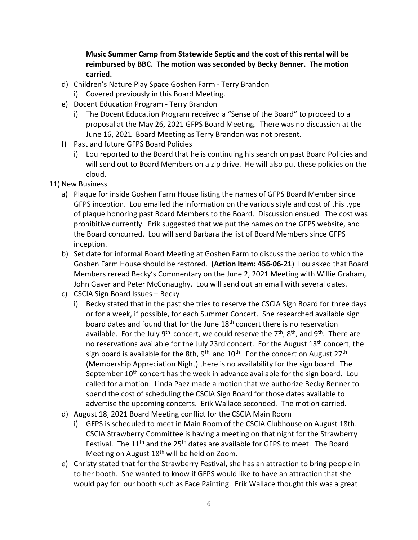**Music Summer Camp from Statewide Septic and the cost of this rental will be reimbursed by BBC. The motion was seconded by Becky Benner. The motion carried.**

- d) Children's Nature Play Space Goshen Farm Terry Brandon
	- i) Covered previously in this Board Meeting.
- e) Docent Education Program Terry Brandon
	- i) The Docent Education Program received a "Sense of the Board" to proceed to a proposal at the May 26, 2021 GFPS Board Meeting. There was no discussion at the June 16, 2021 Board Meeting as Terry Brandon was not present.
- f) Past and future GFPS Board Policies
	- i) Lou reported to the Board that he is continuing his search on past Board Policies and will send out to Board Members on a zip drive. He will also put these policies on the cloud.
- 11) New Business
	- a) Plaque for inside Goshen Farm House listing the names of GFPS Board Member since GFPS inception. Lou emailed the information on the various style and cost of this type of plaque honoring past Board Members to the Board. Discussion ensued. The cost was prohibitive currently. Erik suggested that we put the names on the GFPS website, and the Board concurred. Lou will send Barbara the list of Board Members since GFPS inception.
	- b) Set date for informal Board Meeting at Goshen Farm to discuss the period to which the Goshen Farm House should be restored. **(Action Item: 456-06-21**) Lou asked that Board Members reread Becky's Commentary on the June 2, 2021 Meeting with Willie Graham, John Gaver and Peter McConaughy. Lou will send out an email with several dates.
	- c) CSCIA Sign Board Issues Becky
		- i) Becky stated that in the past she tries to reserve the CSCIA Sign Board for three days or for a week, if possible, for each Summer Concert. She researched available sign board dates and found that for the June 18<sup>th</sup> concert there is no reservation available. For the July 9<sup>th</sup> concert, we could reserve the 7<sup>th</sup>, 8<sup>th</sup>, and 9<sup>th</sup>. There are no reservations available for the July 23rd concert. For the August 13<sup>th</sup> concert, the sign board is available for the 8th, 9<sup>th,</sup> and 10<sup>th</sup>. For the concert on August 27<sup>th</sup> (Membership Appreciation Night) there is no availability for the sign board. The September  $10^{th}$  concert has the week in advance available for the sign board. Lou called for a motion. Linda Paez made a motion that we authorize Becky Benner to spend the cost of scheduling the CSCIA Sign Board for those dates available to advertise the upcoming concerts. Erik Wallace seconded. The motion carried.
	- d) August 18, 2021 Board Meeting conflict for the CSCIA Main Room
		- i) GFPS is scheduled to meet in Main Room of the CSCIA Clubhouse on August 18th. CSCIA Strawberry Committee is having a meeting on that night for the Strawberry Festival. The 11<sup>th</sup> and the 25<sup>th</sup> dates are available for GFPS to meet. The Board Meeting on August 18<sup>th</sup> will be held on Zoom.
	- e) Christy stated that for the Strawberry Festival, she has an attraction to bring people in to her booth. She wanted to know if GFPS would like to have an attraction that she would pay for our booth such as Face Painting. Erik Wallace thought this was a great